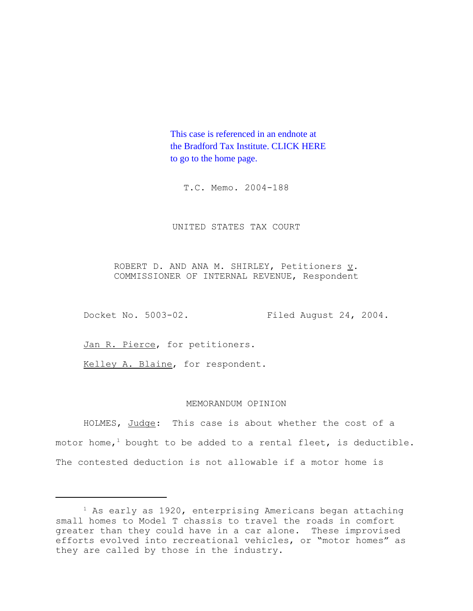This case is referenced in an endnote at [the Bradford Tax Institute. CLICK HERE](http://www.bradfordtaxinstitute.com/)  to go to the home page.

T.C. Memo. 2004-188

UNITED STATES TAX COURT

ROBERT D. AND ANA M. SHIRLEY, Petitioners  $\underline{v}$ . COMMISSIONER OF INTERNAL REVENUE, Respondent

Docket No. 5003-02. Filed August 24, 2004.

Jan R. Pierce, for petitioners.

Kelley A. Blaine, for respondent.

## MEMORANDUM OPINION

HOLMES, Judge: This case is about whether the cost of a motor home,<sup>1</sup> bought to be added to a rental fleet, is deductible. The contested deduction is not allowable if a motor home is

 $1$  As early as 1920, enterprising Americans began attaching small homes to Model T chassis to travel the roads in comfort greater than they could have in a car alone. These improvised efforts evolved into recreational vehicles, or "motor homes" as they are called by those in the industry.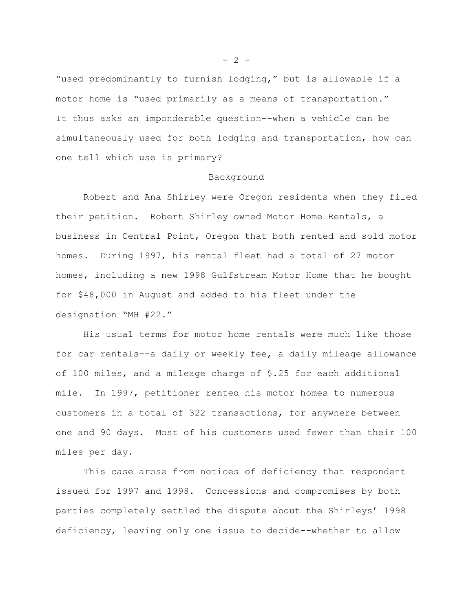"used predominantly to furnish lodging," but is allowable if a motor home is "used primarily as a means of transportation." It thus asks an imponderable question--when a vehicle can be simultaneously used for both lodging and transportation, how can one tell which use is primary?

## Background

Robert and Ana Shirley were Oregon residents when they filed their petition. Robert Shirley owned Motor Home Rentals, a business in Central Point, Oregon that both rented and sold motor homes. During 1997, his rental fleet had a total of 27 motor homes, including a new 1998 Gulfstream Motor Home that he bought for \$48,000 in August and added to his fleet under the designation "MH #22."

His usual terms for motor home rentals were much like those for car rentals--a daily or weekly fee, a daily mileage allowance of 100 miles, and a mileage charge of \$.25 for each additional mile. In 1997, petitioner rented his motor homes to numerous customers in a total of 322 transactions, for anywhere between one and 90 days. Most of his customers used fewer than their 100 miles per day.

This case arose from notices of deficiency that respondent issued for 1997 and 1998. Concessions and compromises by both parties completely settled the dispute about the Shirleys' 1998 deficiency, leaving only one issue to decide--whether to allow

 $- 2 -$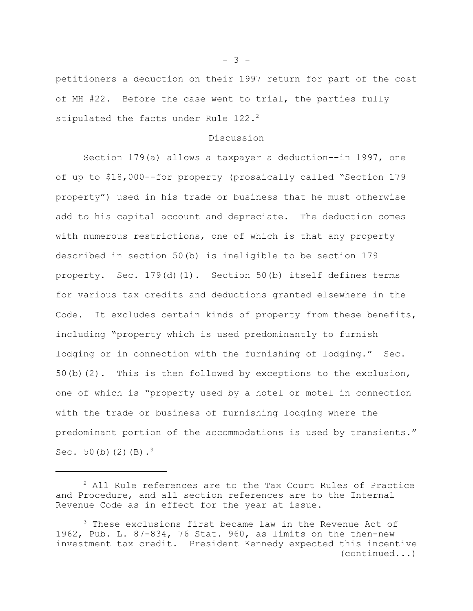petitioners a deduction on their 1997 return for part of the cost of MH #22. Before the case went to trial, the parties fully stipulated the facts under Rule  $122.^2$ 

## Discussion

Section 179(a) allows a taxpayer a deduction--in 1997, one of up to \$18,000--for property (prosaically called "Section 179 property") used in his trade or business that he must otherwise add to his capital account and depreciate. The deduction comes with numerous restrictions, one of which is that any property described in section 50(b) is ineligible to be section 179 property. Sec. 179(d)(1). Section 50(b) itself defines terms for various tax credits and deductions granted elsewhere in the Code. It excludes certain kinds of property from these benefits, including "property which is used predominantly to furnish lodging or in connection with the furnishing of lodging." Sec. 50(b)(2). This is then followed by exceptions to the exclusion, one of which is "property used by a hotel or motel in connection with the trade or business of furnishing lodging where the predominant portion of the accommodations is used by transients." Sec.  $50(b)(2)(B).<sup>3</sup>$ 

 $- 3 -$ 

<sup>&</sup>lt;sup>2</sup> All Rule references are to the Tax Court Rules of Practice and Procedure, and all section references are to the Internal Revenue Code as in effect for the year at issue.

<sup>&</sup>lt;sup>3</sup> These exclusions first became law in the Revenue Act of 1962, Pub. L. 87-834, 76 Stat. 960, as limits on the then-new investment tax credit. President Kennedy expected this incentive (continued...)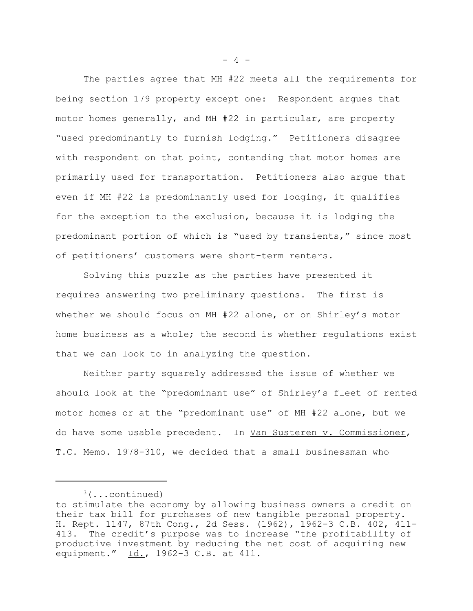The parties agree that MH #22 meets all the requirements for being section 179 property except one: Respondent argues that motor homes generally, and MH #22 in particular, are property "used predominantly to furnish lodging." Petitioners disagree with respondent on that point, contending that motor homes are primarily used for transportation. Petitioners also argue that even if MH #22 is predominantly used for lodging, it qualifies for the exception to the exclusion, because it is lodging the predominant portion of which is "used by transients," since most of petitioners' customers were short-term renters.

Solving this puzzle as the parties have presented it requires answering two preliminary questions. The first is whether we should focus on MH #22 alone, or on Shirley's motor home business as a whole; the second is whether regulations exist that we can look to in analyzing the question.

Neither party squarely addressed the issue of whether we should look at the "predominant use" of Shirley's fleet of rented motor homes or at the "predominant use" of MH #22 alone, but we do have some usable precedent. In Van Susteren v. Commissioner, T.C. Memo. 1978-310, we decided that a small businessman who

 $- 4 -$ 

 $3$ (...continued)

to stimulate the economy by allowing business owners a credit on their tax bill for purchases of new tangible personal property. H. Rept. 1147, 87th Cong., 2d Sess. (1962), 1962-3 C.B. 402, 411- 413. The credit's purpose was to increase "the profitability of productive investment by reducing the net cost of acquiring new equipment." Id., 1962-3 C.B. at 411.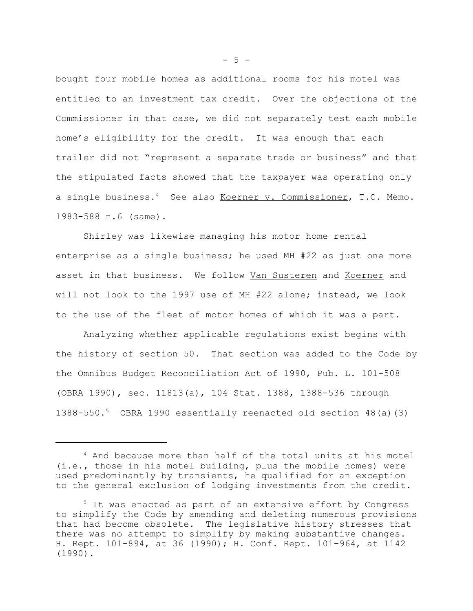bought four mobile homes as additional rooms for his motel was entitled to an investment tax credit. Over the objections of the Commissioner in that case, we did not separately test each mobile home's eligibility for the credit. It was enough that each trailer did not "represent a separate trade or business" and that the stipulated facts showed that the taxpayer was operating only a single business.<sup>4</sup> See also Koerner v. Commissioner, T.C. Memo. 1983-588 n.6 (same).

Shirley was likewise managing his motor home rental enterprise as a single business; he used MH #22 as just one more asset in that business. We follow Van Susteren and Koerner and will not look to the 1997 use of MH #22 alone; instead, we look to the use of the fleet of motor homes of which it was a part.

Analyzing whether applicable regulations exist begins with the history of section 50. That section was added to the Code by the Omnibus Budget Reconciliation Act of 1990, Pub. L. 101-508 (OBRA 1990), sec. 11813(a), 104 Stat. 1388, 1388-536 through 1388-550.5 OBRA 1990 essentially reenacted old section 48(a)(3)

 $-5 -$ 

<sup>4</sup> And because more than half of the total units at his motel (i.e., those in his motel building, plus the mobile homes) were used predominantly by transients, he qualified for an exception to the general exclusion of lodging investments from the credit.

<sup>&</sup>lt;sup>5</sup> It was enacted as part of an extensive effort by Congress to simplify the Code by amending and deleting numerous provisions that had become obsolete. The legislative history stresses that there was no attempt to simplify by making substantive changes. H. Rept. 101-894, at 36 (1990); H. Conf. Rept. 101-964, at 1142 (1990).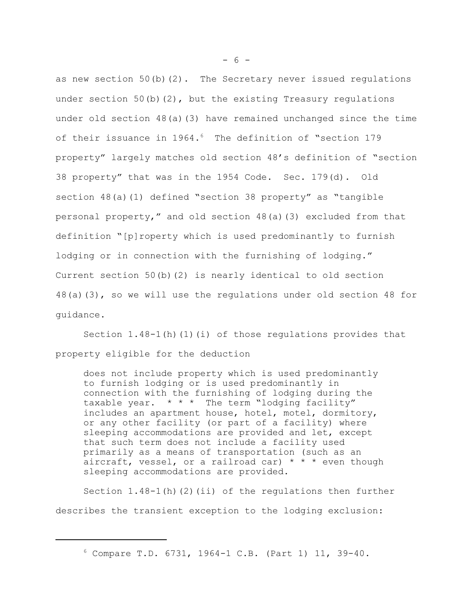as new section  $50(b)(2)$ . The Secretary never issued regulations under section  $50(b)(2)$ , but the existing Treasury regulations under old section 48(a)(3) have remained unchanged since the time of their issuance in 1964.<sup>6</sup> The definition of "section 179 property" largely matches old section 48's definition of "section 38 property" that was in the 1954 Code. Sec. 179(d). Old section 48(a)(1) defined "section 38 property" as "tangible personal property," and old section 48(a)(3) excluded from that definition "[p]roperty which is used predominantly to furnish lodging or in connection with the furnishing of lodging." Current section 50(b)(2) is nearly identical to old section 48(a)(3), so we will use the regulations under old section 48 for guidance.

Section  $1.48-1(h)(1)(i)$  of those regulations provides that property eligible for the deduction

does not include property which is used predominantly to furnish lodging or is used predominantly in connection with the furnishing of lodging during the taxable year.  $* * *$  The term "lodging facility" includes an apartment house, hotel, motel, dormitory, or any other facility (or part of a facility) where sleeping accommodations are provided and let, except that such term does not include a facility used primarily as a means of transportation (such as an aircraft, vessel, or a railroad car)  $* * *$  even though sleeping accommodations are provided.

Section  $1.48-1$ (h)(2)(ii) of the regulations then further describes the transient exception to the lodging exclusion:

- 6 -

<sup>6</sup> Compare T.D. 6731, 1964-1 C.B. (Part 1) 11, 39-40.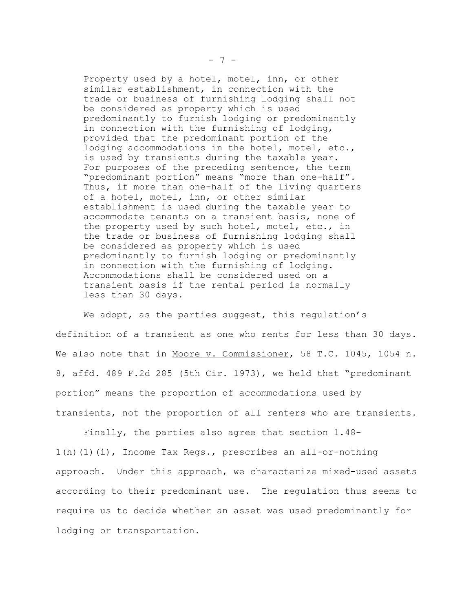Property used by a hotel, motel, inn, or other similar establishment, in connection with the trade or business of furnishing lodging shall not be considered as property which is used predominantly to furnish lodging or predominantly in connection with the furnishing of lodging, provided that the predominant portion of the lodging accommodations in the hotel, motel, etc., is used by transients during the taxable year. For purposes of the preceding sentence, the term "predominant portion" means "more than one-half". Thus, if more than one-half of the living quarters of a hotel, motel, inn, or other similar establishment is used during the taxable year to accommodate tenants on a transient basis, none of the property used by such hotel, motel, etc., in the trade or business of furnishing lodging shall be considered as property which is used predominantly to furnish lodging or predominantly in connection with the furnishing of lodging. Accommodations shall be considered used on a transient basis if the rental period is normally less than 30 days.

We adopt, as the parties suggest, this regulation's definition of a transient as one who rents for less than 30 days. We also note that in Moore v. Commissioner, 58 T.C. 1045, 1054 n. 8, affd. 489 F.2d 285 (5th Cir. 1973), we held that "predominant portion" means the proportion of accommodations used by transients, not the proportion of all renters who are transients.

Finally, the parties also agree that section 1.48- 1(h)(1)(i), Income Tax Regs., prescribes an all-or-nothing approach. Under this approach, we characterize mixed-used assets according to their predominant use. The regulation thus seems to require us to decide whether an asset was used predominantly for lodging or transportation.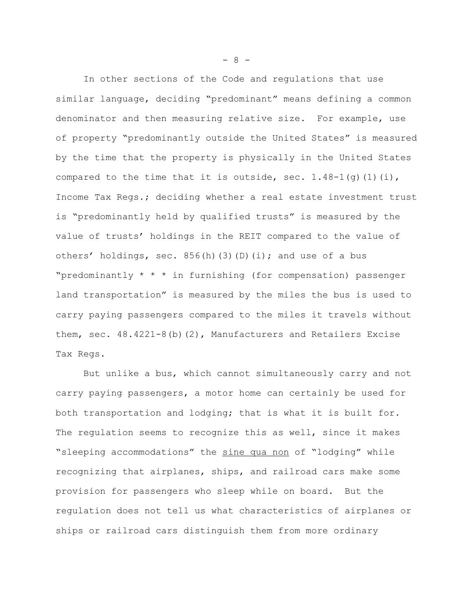In other sections of the Code and regulations that use similar language, deciding "predominant" means defining a common denominator and then measuring relative size. For example, use of property "predominantly outside the United States" is measured by the time that the property is physically in the United States compared to the time that it is outside, sec.  $1.48-1(q)(1)(i)$ , Income Tax Regs.; deciding whether a real estate investment trust is "predominantly held by qualified trusts" is measured by the value of trusts' holdings in the REIT compared to the value of others' holdings, sec.  $856(h)(3)(D)(i);$  and use of a bus "predominantly \* \* \* in furnishing (for compensation) passenger land transportation" is measured by the miles the bus is used to carry paying passengers compared to the miles it travels without them, sec. 48.4221-8(b)(2), Manufacturers and Retailers Excise Tax Regs.

But unlike a bus, which cannot simultaneously carry and not carry paying passengers, a motor home can certainly be used for both transportation and lodging; that is what it is built for. The regulation seems to recognize this as well, since it makes "sleeping accommodations" the sine qua non of "lodging" while recognizing that airplanes, ships, and railroad cars make some provision for passengers who sleep while on board. But the regulation does not tell us what characteristics of airplanes or ships or railroad cars distinguish them from more ordinary

- 8 -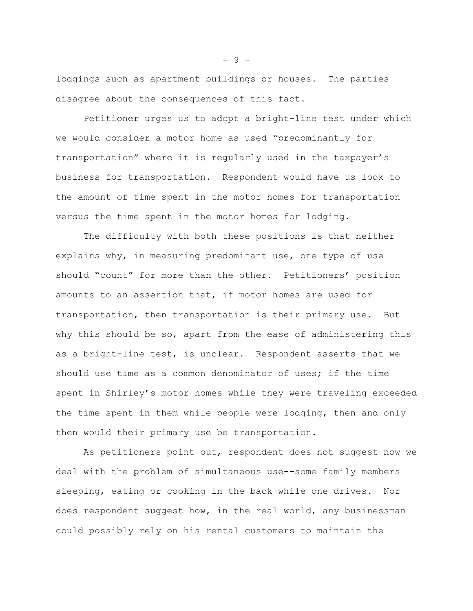lodgings such as apartment buildings or houses. The parties disagree about the consequences of this fact.

Petitioner urges us to adopt a bright-line test under which we would consider a motor home as used "predominantly for transportation" where it is regularly used in the taxpayer's business for transportation. Respondent would have us look to the amount of time spent in the motor homes for transportation versus the time spent in the motor homes for lodging.

The difficulty with both these positions is that neither explains why, in measuring predominant use, one type of use should "count" for more than the other. Petitioners' position amounts to an assertion that, if motor homes are used for transportation, then transportation is their primary use. But why this should be so, apart from the ease of administering this as a bright-line test, is unclear. Respondent asserts that we should use time as a common denominator of uses; if the time spent in Shirley's motor homes while they were traveling exceeded the time spent in them while people were lodging, then and only then would their primary use be transportation.

As petitioners point out, respondent does not suggest how we deal with the problem of simultaneous use--some family members sleeping, eating or cooking in the back while one drives. Nor does respondent suggest how, in the real world, any businessman could possibly rely on his rental customers to maintain the

- 9 -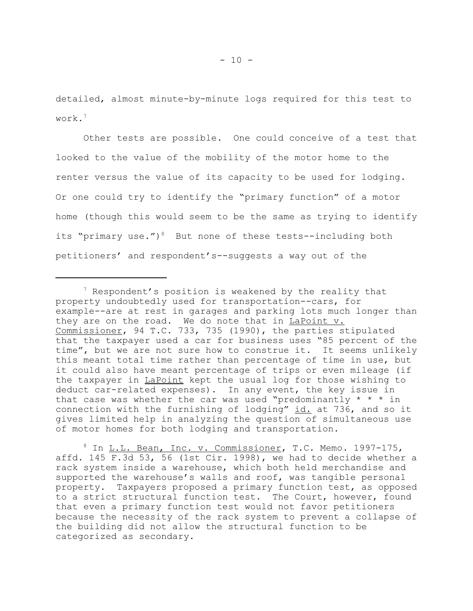detailed, almost minute-by-minute logs required for this test to work.7

Other tests are possible. One could conceive of a test that looked to the value of the mobility of the motor home to the renter versus the value of its capacity to be used for lodging. Or one could try to identify the "primary function" of a motor home (though this would seem to be the same as trying to identify its "primary use.")<sup>8</sup> But none of these tests--including both petitioners' and respondent's--suggests a way out of the

<sup>8</sup> In L.L. Bean, Inc. v. Commissioner, T.C. Memo. 1997-175, affd. 145 F.3d 53, 56 (1st Cir. 1998), we had to decide whether a rack system inside a warehouse, which both held merchandise and supported the warehouse's walls and roof, was tangible personal property. Taxpayers proposed a primary function test, as opposed to a strict structural function test. The Court, however, found that even a primary function test would not favor petitioners because the necessity of the rack system to prevent a collapse of the building did not allow the structural function to be categorized as secondary.

<sup>&</sup>lt;sup>7</sup> Respondent's position is weakened by the reality that property undoubtedly used for transportation--cars, for example--are at rest in garages and parking lots much longer than they are on the road. We do note that in LaPoint v. Commissioner, 94 T.C. 733, 735 (1990), the parties stipulated that the taxpayer used a car for business uses "85 percent of the time", but we are not sure how to construe it. It seems unlikely this meant total time rather than percentage of time in use, but it could also have meant percentage of trips or even mileage (if the taxpayer in LaPoint kept the usual log for those wishing to deduct car-related expenses). In any event, the key issue in that case was whether the car was used "predominantly  $* * * in$ connection with the furnishing of lodging"  $id$ , at 736, and so it gives limited help in analyzing the question of simultaneous use of motor homes for both lodging and transportation.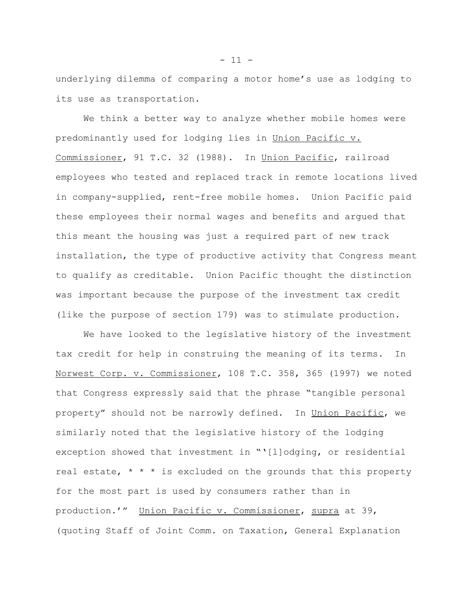underlying dilemma of comparing a motor home's use as lodging to its use as transportation.

We think a better way to analyze whether mobile homes were predominantly used for lodging lies in Union Pacific v. Commissioner, 91 T.C. 32 (1988). In Union Pacific, railroad employees who tested and replaced track in remote locations lived in company-supplied, rent-free mobile homes. Union Pacific paid these employees their normal wages and benefits and argued that this meant the housing was just a required part of new track installation, the type of productive activity that Congress meant to qualify as creditable. Union Pacific thought the distinction was important because the purpose of the investment tax credit (like the purpose of section 179) was to stimulate production.

We have looked to the legislative history of the investment tax credit for help in construing the meaning of its terms. In Norwest Corp. v. Commissioner, 108 T.C. 358, 365 (1997) we noted that Congress expressly said that the phrase "tangible personal property" should not be narrowly defined. In Union Pacific, we similarly noted that the legislative history of the lodging exception showed that investment in "'[l]odging, or residential real estate,  $* * *$  is excluded on the grounds that this property for the most part is used by consumers rather than in production.'" Union Pacific v. Commissioner, supra at 39, (quoting Staff of Joint Comm. on Taxation, General Explanation

 $- 11 -$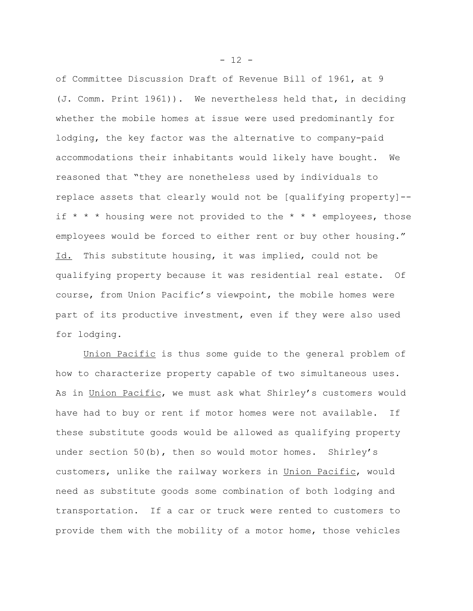of Committee Discussion Draft of Revenue Bill of 1961, at 9 (J. Comm. Print 1961)). We nevertheless held that, in deciding whether the mobile homes at issue were used predominantly for lodging, the key factor was the alternative to company-paid accommodations their inhabitants would likely have bought. We reasoned that "they are nonetheless used by individuals to replace assets that clearly would not be [qualifying property]- if  $* * *$  housing were not provided to the  $* * *$  employees, those employees would be forced to either rent or buy other housing." Id. This substitute housing, it was implied, could not be qualifying property because it was residential real estate. Of course, from Union Pacific's viewpoint, the mobile homes were part of its productive investment, even if they were also used for lodging.

Union Pacific is thus some guide to the general problem of how to characterize property capable of two simultaneous uses. As in Union Pacific, we must ask what Shirley's customers would have had to buy or rent if motor homes were not available. If these substitute goods would be allowed as qualifying property under section 50(b), then so would motor homes. Shirley's customers, unlike the railway workers in Union Pacific, would need as substitute goods some combination of both lodging and transportation. If a car or truck were rented to customers to provide them with the mobility of a motor home, those vehicles

 $- 12 -$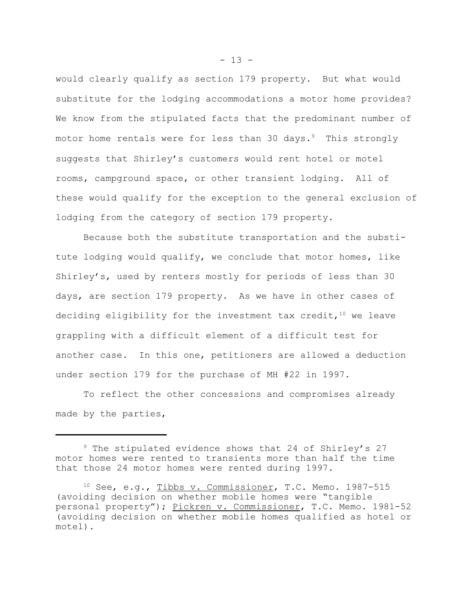would clearly qualify as section 179 property. But what would substitute for the lodging accommodations a motor home provides? We know from the stipulated facts that the predominant number of motor home rentals were for less than 30 days. $9$  This strongly suggests that Shirley's customers would rent hotel or motel rooms, campground space, or other transient lodging. All of these would qualify for the exception to the general exclusion of lodging from the category of section 179 property.

Because both the substitute transportation and the substitute lodging would qualify, we conclude that motor homes, like Shirley's, used by renters mostly for periods of less than 30 days, are section 179 property. As we have in other cases of deciding eligibility for the investment tax credit,  $10$  we leave grappling with a difficult element of a difficult test for another case. In this one, petitioners are allowed a deduction under section 179 for the purchase of MH #22 in 1997.

To reflect the other concessions and compromises already made by the parties,

<sup>&</sup>lt;sup>9</sup> The stipulated evidence shows that 24 of Shirley's 27 motor homes were rented to transients more than half the time that those 24 motor homes were rented during 1997.

<sup>10</sup> See, e.g., Tibbs v. Commissioner, T.C. Memo. 1987-515 (avoiding decision on whether mobile homes were "tangible personal property"); Pickren v. Commissioner, T.C. Memo. 1981-52 (avoiding decision on whether mobile homes qualified as hotel or motel).